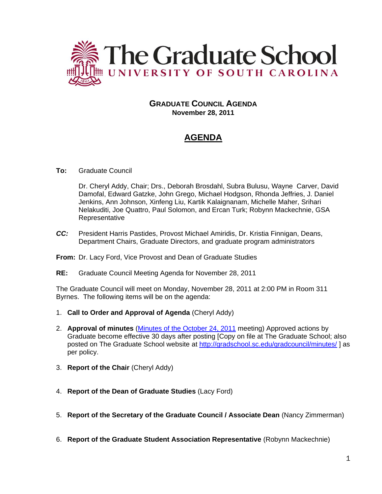

## **GRADUATE COUNCIL AGENDA November 28, 2011**

# **AGENDA**

## **To:** Graduate Council

Dr. Cheryl Addy, Chair; Drs., Deborah Brosdahl, Subra Bulusu, Wayne Carver, David Damofal, Edward Gatzke, John Grego, Michael Hodgson, Rhonda Jeffries, J. Daniel Jenkins, Ann Johnson, Xinfeng Liu, Kartik Kalaignanam, Michelle Maher, Srihari Nelakuditi, Joe Quattro, Paul Solomon, and Ercan Turk; Robynn Mackechnie, GSA Representative

*CC:* President Harris Pastides, Provost Michael Amiridis, Dr. Kristia Finnigan, Deans, Department Chairs, Graduate Directors, and graduate program administrators

#### **From:** Dr. Lacy Ford, Vice Provost and Dean of Graduate Studies

**RE:** Graduate Council Meeting Agenda for November 28, 2011

The Graduate Council will meet on Monday, November 28, 2011 at 2:00 PM in Room 311 Byrnes. The following items will be on the agenda:

- 1. **Call to Order and Approval of Agenda** (Cheryl Addy)
- 2. **Approval of minutes** (Minutes of [the October 24, 2011](http://gradschool.sc.edu/gradcouncil/minutes/GCMinutes102411.pdf) meeting) Approved actions by Graduate become effective 30 days after posting [Copy on file at The Graduate School; also posted on The Graduate School website at<http://gradschool.sc.edu/gradcouncil/minutes/> ] as per policy.
- 3. **Report of the Chair** (Cheryl Addy)
- 4. **Report of the Dean of Graduate Studies** (Lacy Ford)
- 5. **Report of the Secretary of the Graduate Council / Associate Dean** (Nancy Zimmerman)
- 6. **Report of the Graduate Student Association Representative** (Robynn Mackechnie)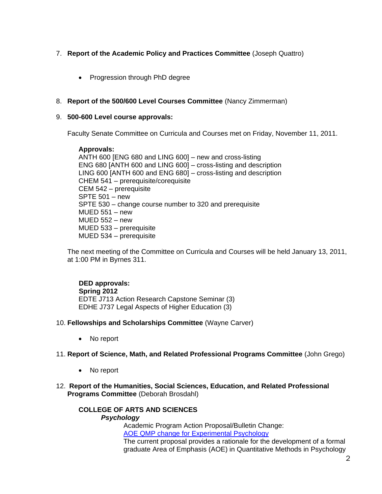## 7. **Report of the Academic Policy and Practices Committee** (Joseph Quattro)

• Progression through PhD degree

## 8. **Report of the 500/600 Level Courses Committee** (Nancy Zimmerman)

### 9. **500-600 Level course approvals:**

Faculty Senate Committee on Curricula and Courses met on Friday, November 11, 2011.

## **Approvals:**

ANTH 600 [ENG 680 and LING 600] – new and cross-listing ENG 680 [ANTH 600 and LING 600] – cross-listing and description LING 600 [ANTH 600 and ENG 680] – cross-listing and description CHEM 541 – prerequisite/corequisite CEM 542 – prerequisite SPTE 501 – new SPTE 530 – change course number to 320 and prerequisite  $MUED$  551 – new MUED 552 – new MUED 533 – prerequisite MUED 534 – prerequisite

The next meeting of the Committee on Curricula and Courses will be held January 13, 2011, at 1:00 PM in Byrnes 311.

## **DED approvals: Spring 2012**  EDTE J713 Action Research Capstone Seminar (3) EDHE J737 Legal Aspects of Higher Education (3)

- 10. **Fellowships and Scholarships Committee** (Wayne Carver)
	- No report

## 11. **Report of Science, Math, and Related Professional Programs Committee** (John Grego)

- No report
- 12. **Report of the Humanities, Social Sciences, Education, and Related Professional Programs Committee** (Deborah Brosdahl)

#### **COLLEGE OF ARTS AND SCIENCES** *Psychology*

Academic Program Action Proposal/Bulletin Change: [AOE QMP change for Experimental Psychology](http://gradschool.sc.edu/gradcouncil/curr_docs/APAEXPPSYCAOEQMP_201141.pdf)

The current proposal provides a rationale for the development of a formal graduate Area of Emphasis (AOE) in Quantitative Methods in Psychology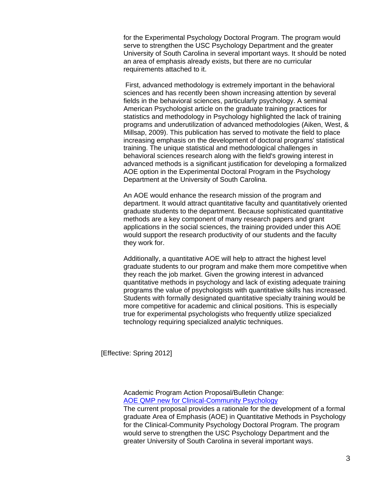for the Experimental Psychology Doctoral Program. The program would serve to strengthen the USC Psychology Department and the greater University of South Carolina in several important ways. It should be noted an area of emphasis already exists, but there are no curricular requirements attached to it.

First, advanced methodology is extremely important in the behavioral sciences and has recently been shown increasing attention by several fields in the behavioral sciences, particularly psychology. A seminal American Psychologist article on the graduate training practices for statistics and methodology in Psychology highlighted the lack of training programs and underutilization of advanced methodologies (Aiken, West, & Millsap, 2009). This publication has served to motivate the field to place increasing emphasis on the development of doctoral programs' statistical training. The unique statistical and methodological challenges in behavioral sciences research along with the field's growing interest in advanced methods is a significant justification for developing a formalized AOE option in the Experimental Doctoral Program in the Psychology Department at the University of South Carolina.

An AOE would enhance the research mission of the program and department. It would attract quantitative faculty and quantitatively oriented graduate students to the department. Because sophisticated quantitative methods are a key component of many research papers and grant applications in the social sciences, the training provided under this AOE would support the research productivity of our students and the faculty they work for.

Additionally, a quantitative AOE will help to attract the highest level graduate students to our program and make them more competitive when they reach the job market. Given the growing interest in advanced quantitative methods in psychology and lack of existing adequate training programs the value of psychologists with quantitative skills has increased. Students with formally designated quantitative specialty training would be more competitive for academic and clinical positions. This is especially true for experimental psychologists who frequently utilize specialized technology requiring specialized analytic techniques.

[Effective: Spring 2012]

Academic Program Action Proposal/Bulletin Change: [AOE QMP new for Clinical-Community Psychology](http://gradschool.sc.edu/gradcouncil/curr_docs/APACCPSYCHAOEQMP_201141.pdf)

The current proposal provides a rationale for the development of a formal graduate Area of Emphasis (AOE) in Quantitative Methods in Psychology for the Clinical-Community Psychology Doctoral Program. The program would serve to strengthen the USC Psychology Department and the greater University of South Carolina in several important ways.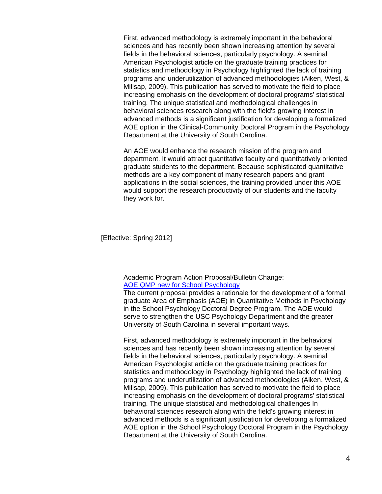First, advanced methodology is extremely important in the behavioral sciences and has recently been shown increasing attention by several fields in the behavioral sciences, particularly psychology. A seminal American Psychologist article on the graduate training practices for statistics and methodology in Psychology highlighted the lack of training programs and underutilization of advanced methodologies (Aiken, West, & Millsap, 2009). This publication has served to motivate the field to place increasing emphasis on the development of doctoral programs' statistical training. The unique statistical and methodological challenges in behavioral sciences research along with the field's growing interest in advanced methods is a significant justification for developing a formalized AOE option in the Clinical-Community Doctoral Program in the Psychology Department at the University of South Carolina.

An AOE would enhance the research mission of the program and department. It would attract quantitative faculty and quantitatively oriented graduate students to the department. Because sophisticated quantitative methods are a key component of many research papers and grant applications in the social sciences, the training provided under this AOE would support the research productivity of our students and the faculty they work for.

[Effective: Spring 2012]

#### Academic Program Action Proposal/Bulletin Change: [AOE QMP new for School Psychology](http://gradschool.sc.edu/gradcouncil/tracking_detail.asp?acad=2011-2012&chart=Humanities)

The current proposal provides a rationale for the development of a formal graduate Area of Emphasis (AOE) in Quantitative Methods in Psychology in the School Psychology Doctoral Degree Program. The AOE would serve to strengthen the USC Psychology Department and the greater University of South Carolina in several important ways.

First, advanced methodology is extremely important in the behavioral sciences and has recently been shown increasing attention by several fields in the behavioral sciences, particularly psychology. A seminal American Psychologist article on the graduate training practices for statistics and methodology in Psychology highlighted the lack of training programs and underutilization of advanced methodologies (Aiken, West, & Millsap, 2009). This publication has served to motivate the field to place increasing emphasis on the development of doctoral programs' statistical training. The unique statistical and methodological challenges In behavioral sciences research along with the field's growing interest in advanced methods is a significant justification for developing a formalized AOE option in the School Psychology Doctoral Program in the Psychology Department at the University of South Carolina.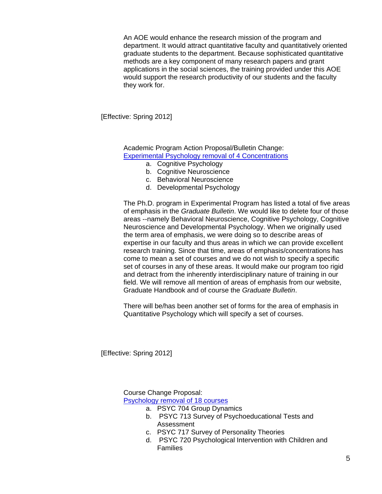An AOE would enhance the research mission of the program and department. It would attract quantitative faculty and quantitatively oriented graduate students to the department. Because sophisticated quantitative methods are a key component of many research papers and grant applications in the social sciences, the training provided under this AOE would support the research productivity of our students and the faculty they work for.

[Effective: Spring 2012]

Academic Program Action Proposal/Bulletin Change: [Experimental Psychology removal of 4 Concentrations](http://gradschool.sc.edu/gradcouncil/curr_docs/APAPSYCHDELETE4AOE_201141.pdf)

- a. Cognitive Psychology
- b. Cognitive Neuroscience
- c. Behavioral Neuroscience
- d. Developmental Psychology

The Ph.D. program in Experimental Program has listed a total of five areas of emphasis in the *Graduate Bulletin*. We would like to delete four of those areas --namely Behavioral Neuroscience, Cognitive Psychology, Cognitive Neuroscience and Developmental Psychology. When we originally used the term area of emphasis, we were doing so to describe areas of expertise in our faculty and thus areas in which we can provide excellent research training. Since that time, areas of emphasis/concentrations has come to mean a set of courses and we do not wish to specify a specific set of courses in any of these areas. It would make our program too rigid and detract from the inherently interdisciplinary nature of training in our field. We will remove all mention of areas of emphasis from our website, Graduate Handbook and of course the *Graduate Bulletin*.

There will be/has been another set of forms for the area of emphasis in Quantitative Psychology which will specify a set of courses.

[Effective: Spring 2012]

Course Change Proposal: [Psychology removal of 18 courses](http://gradschool.sc.edu/gradcouncil/curr_docs/CCPPSYCHINACTIVES_201141.pdf)

- a. PSYC 704 Group Dynamics
- b. PSYC 713 Survey of Psychoeducational Tests and Assessment
- c. PSYC 717 Survey of Personality Theories
- d. PSYC 720 Psychological Intervention with Children and Families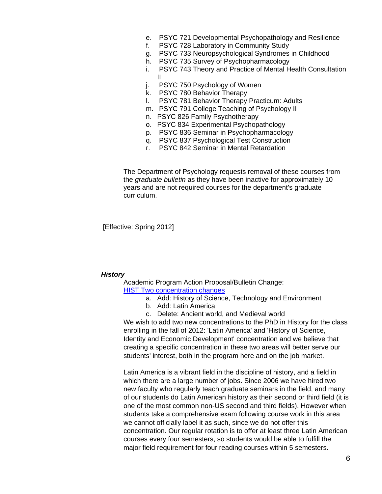- e. PSYC 721 Developmental Psychopathology and Resilience
- f. PSYC 728 Laboratory in Community Study
- g. PSYC 733 Neuropsychological Syndromes in Childhood
- h. PSYC 735 Survey of Psychopharmacology
- i. PSYC 743 Theory and Practice of Mental Health Consultation II
- j. PSYC 750 Psychology of Women
- k. PSYC 780 Behavior Therapy
- l. PSYC 781 Behavior Therapy Practicum: Adults
- m. PSYC 791 College Teaching of Psychology II
- n. PSYC 826 Family Psychotherapy
- o. PSYC 834 Experimental Psychopathology
- p. PSYC 836 Seminar in Psychopharmacology
- q. PSYC 837 Psychological Test Construction
- r. PSYC 842 Seminar in Mental Retardation

The Department of Psychology requests removal of these courses from the *graduate bulletin* as they have been inactive for approximately 10 years and are not required courses for the department's graduate curriculum.

[Effective: Spring 2012]

#### *History*

Academic Program Action Proposal/Bulletin Change: [HIST Two concentration changes](http://gradschool.sc.edu/gradcouncil/curr_docs/APAHISTLATIN_201141.pdf)

- a. Add: History of Science, Technology and Environment
- b. Add: Latin America
- c. Delete: Ancient world, and Medieval world

We wish to add two new concentrations to the PhD in History for the class enrolling in the fall of 2012: 'Latin America' and 'History of Science, Identity and Economic Development' concentration and we believe that creating a specific concentration in these two areas will better serve our students' interest, both in the program here and on the job market.

Latin America is a vibrant field in the discipline of history, and a field in which there are a large number of jobs. Since 2006 we have hired two new faculty who regularly teach graduate seminars in the field, and many of our students do Latin American history as their second or third field (it is one of the most common non-US second and third fields). However when students take a comprehensive exam following course work in this area we cannot officially label it as such, since we do not offer this concentration. Our regular rotation is to offer at least three Latin American courses every four semesters, so students would be able to fulfill the major field requirement for four reading courses within 5 semesters.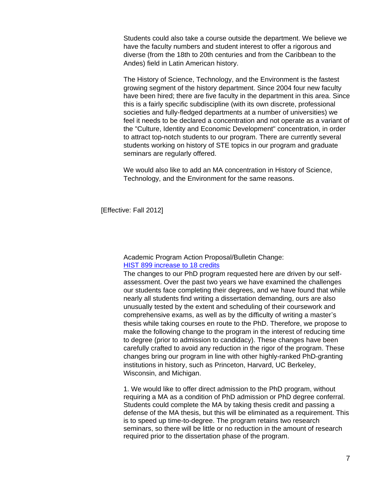Students could also take a course outside the department. We believe we have the faculty numbers and student interest to offer a rigorous and diverse (from the 18th to 20th centuries and from the Caribbean to the Andes) field in Latin American history.

The History of Science, Technology, and the Environment is the fastest growing segment of the history department. Since 2004 four new faculty have been hired; there are five faculty in the department in this area. Since this is a fairly specific subdiscipline (with its own discrete, professional societies and fully-fledged departments at a number of universities) we feel it needs to be declared a concentration and not operate as a variant of the "Culture, Identity and Economic Development" concentration, in order to attract top-notch students to our program. There are currently several students working on history of STE topics in our program and graduate seminars are regularly offered.

We would also like to add an MA concentration in History of Science, Technology, and the Environment for the same reasons.

[Effective: Fall 2012]

### Academic Program Action Proposal/Bulletin Change: [HIST 899 increase to 18 credits](http://gradschool.sc.edu/gradcouncil/curr_docs/APAHIST899_201141.pdf)

The changes to our PhD program requested here are driven by our selfassessment. Over the past two years we have examined the challenges our students face completing their degrees, and we have found that while nearly all students find writing a dissertation demanding, ours are also unusually tested by the extent and scheduling of their coursework and comprehensive exams, as well as by the difficulty of writing a master's thesis while taking courses en route to the PhD. Therefore, we propose to make the following change to the program in the interest of reducing time to degree (prior to admission to candidacy). These changes have been carefully crafted to avoid any reduction in the rigor of the program. These changes bring our program in line with other highly-ranked PhD-granting institutions in history, such as Princeton, Harvard, UC Berkeley, Wisconsin, and Michigan.

1. We would like to offer direct admission to the PhD program, without requiring a MA as a condition of PhD admission or PhD degree conferral. Students could complete the MA by taking thesis credit and passing a defense of the MA thesis, but this will be eliminated as a requirement. This is to speed up time-to-degree. The program retains two research seminars, so there will be little or no reduction in the amount of research required prior to the dissertation phase of the program.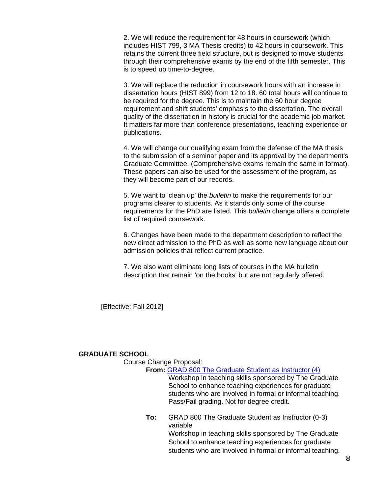2. We will reduce the requirement for 48 hours in coursework (which includes HIST 799, 3 MA Thesis credits) to 42 hours in coursework. This retains the current three field structure, but is designed to move students through their comprehensive exams by the end of the fifth semester. This is to speed up time-to-degree.

3. We will replace the reduction in coursework hours with an increase in dissertation hours (HIST 899) from 12 to 18. 60 total hours will continue to be required for the degree. This is to maintain the 60 hour degree requirement and shift students' emphasis to the dissertation. The overall quality of the dissertation in history is crucial for the academic job market. It matters far more than conference presentations, teaching experience or publications.

4. We will change our qualifying exam from the defense of the MA thesis to the submission of a seminar paper and its approval by the department's Graduate Committee. (Comprehensive exams remain the same in format). These papers can also be used for the assessment of the program, as they will become part of our records.

5. We want to 'clean up' the *bulletin* to make the requirements for our programs clearer to students. As it stands only some of the course requirements for the PhD are listed. This *bulletin* change offers a complete list of required coursework.

6. Changes have been made to the department description to reflect the new direct admission to the PhD as well as some new language about our admission policies that reflect current practice.

7. We also want eliminate long lists of courses in the MA bulletin description that remain 'on the books' but are not regularly offered.

[Effective: Fall 2012]

#### **GRADUATE SCHOOL**

Course Change Proposal:

#### **From:** [GRAD 800 The Graduate Student as Instructor \(4\)](http://gradschool.sc.edu/gradcouncil/curr_docs/CCPGRAD800_201141.pdf)

Workshop in teaching skills sponsored by The Graduate School to enhance teaching experiences for graduate students who are involved in formal or informal teaching. Pass/Fail grading. Not for degree credit.

**To:** GRAD 800 The Graduate Student as Instructor (0-3) variable Workshop in teaching skills sponsored by The Graduate School to enhance teaching experiences for graduate

students who are involved in formal or informal teaching.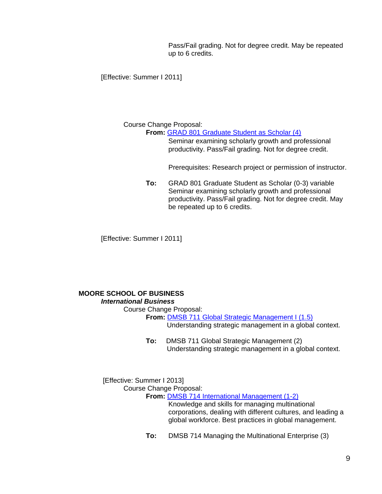Pass/Fail grading. Not for degree credit. May be repeated up to 6 credits.

[Effective: Summer I 2011]

## Course Change Proposal:

**From:** [GRAD 801 Graduate Student as Scholar \(4\)](http://gradschool.sc.edu/gradcouncil/curr_docs/CCPGRAD801_201141.pdf)

Seminar examining scholarly growth and professional productivity. Pass/Fail grading. Not for degree credit.

Prerequisites: Research project or permission of instructor.

**To:** GRAD 801 Graduate Student as Scholar (0-3) variable Seminar examining scholarly growth and professional productivity. Pass/Fail grading. Not for degree credit. May be repeated up to 6 credits.

[Effective: Summer I 2011]

## **MOORE SCHOOL OF BUSINESS**

## *International Business*

Course Change Proposal:

**From: [DMSB 711 Global Strategic Management I \(1.5\)](http://gradschool.sc.edu/gradcouncil/curr_docs/CCPDMSB711_201141.pdf)** 

Understanding strategic management in a global context.

**To:** DMSB 711 Global Strategic Management (2) Understanding strategic management in a global context.

[Effective: Summer I 2013] Course Change Proposal:

**From:** [DMSB 714 International Management \(1-2\)](http://gradschool.sc.edu/gradcouncil/curr_docs/CCPDMSB714_201141.pdf)

Knowledge and skills for managing multinational corporations, dealing with different cultures, and leading a global workforce. Best practices in global management.

**To:** DMSB 714 Managing the Multinational Enterprise (3)